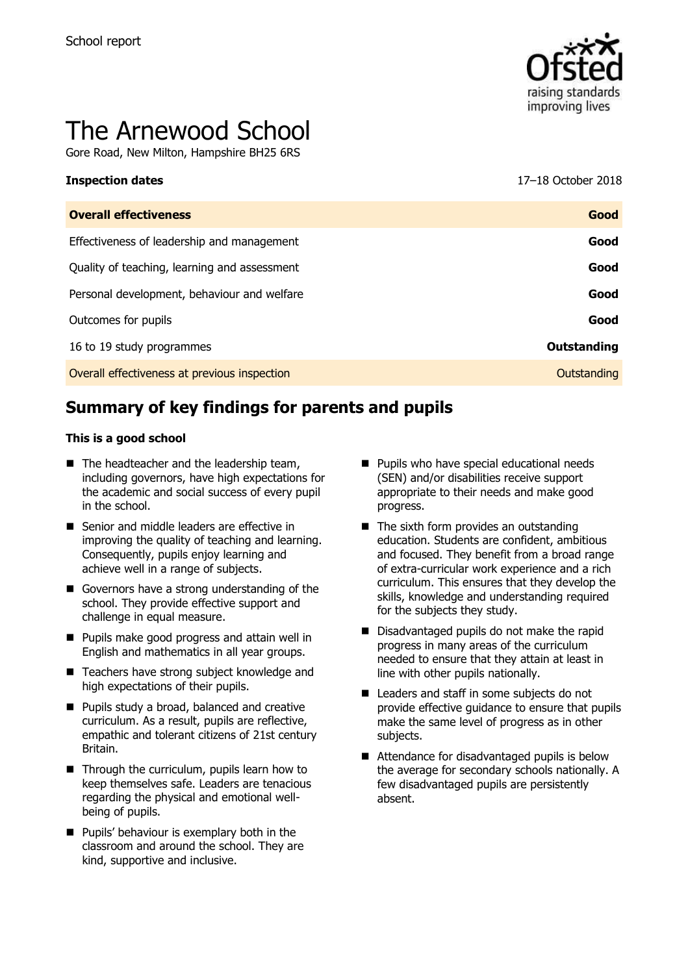

# The Arnewood School

Gore Road, New Milton, Hampshire BH25 6RS

**Inspection dates** 17–18 October 2018

| <b>Overall effectiveness</b>                 | Good        |
|----------------------------------------------|-------------|
| Effectiveness of leadership and management   | Good        |
| Quality of teaching, learning and assessment | Good        |
| Personal development, behaviour and welfare  | Good        |
| Outcomes for pupils                          | Good        |
| 16 to 19 study programmes                    | Outstanding |
| Overall effectiveness at previous inspection | Outstanding |
|                                              |             |

# **Summary of key findings for parents and pupils**

#### **This is a good school**

- $\blacksquare$  The headteacher and the leadership team, including governors, have high expectations for the academic and social success of every pupil in the school.
- Senior and middle leaders are effective in improving the quality of teaching and learning. Consequently, pupils enjoy learning and achieve well in a range of subjects.
- Governors have a strong understanding of the school. They provide effective support and challenge in equal measure.
- **Pupils make good progress and attain well in** English and mathematics in all year groups.
- Teachers have strong subject knowledge and high expectations of their pupils.
- **Pupils study a broad, balanced and creative** curriculum. As a result, pupils are reflective, empathic and tolerant citizens of 21st century Britain.
- Through the curriculum, pupils learn how to keep themselves safe. Leaders are tenacious regarding the physical and emotional wellbeing of pupils.
- **Pupils' behaviour is exemplary both in the** classroom and around the school. They are kind, supportive and inclusive.
- **Pupils who have special educational needs** (SEN) and/or disabilities receive support appropriate to their needs and make good progress.
- $\blacksquare$  The sixth form provides an outstanding education. Students are confident, ambitious and focused. They benefit from a broad range of extra-curricular work experience and a rich curriculum. This ensures that they develop the skills, knowledge and understanding required for the subjects they study.
- Disadvantaged pupils do not make the rapid progress in many areas of the curriculum needed to ensure that they attain at least in line with other pupils nationally.
- Leaders and staff in some subjects do not provide effective guidance to ensure that pupils make the same level of progress as in other subjects.
- Attendance for disadvantaged pupils is below the average for secondary schools nationally. A few disadvantaged pupils are persistently absent.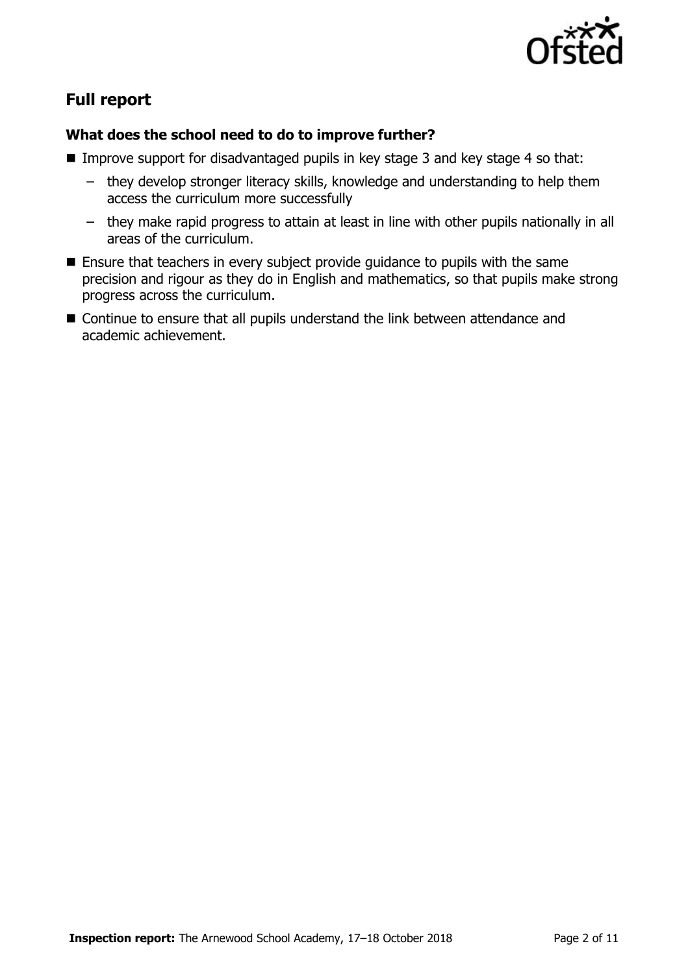

# **Full report**

#### **What does the school need to do to improve further?**

- Improve support for disadvantaged pupils in key stage 3 and key stage 4 so that:
	- they develop stronger literacy skills, knowledge and understanding to help them access the curriculum more successfully
	- they make rapid progress to attain at least in line with other pupils nationally in all areas of the curriculum.
- **Ensure that teachers in every subject provide guidance to pupils with the same** precision and rigour as they do in English and mathematics, so that pupils make strong progress across the curriculum.
- Continue to ensure that all pupils understand the link between attendance and academic achievement.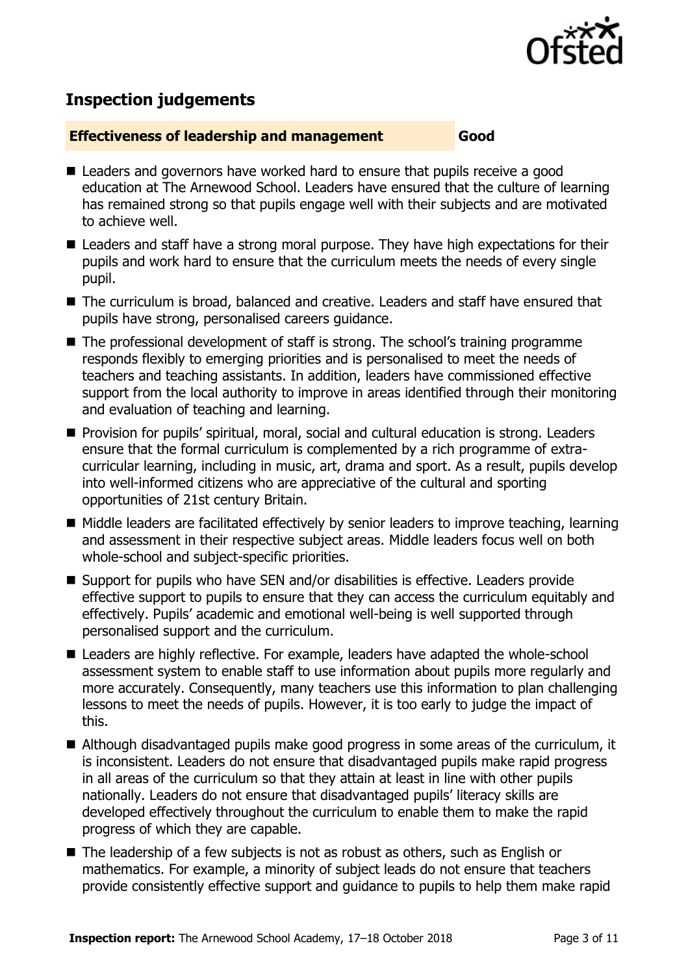

# **Inspection judgements**

#### **Effectiveness of leadership and management Good**

- Leaders and governors have worked hard to ensure that pupils receive a good education at The Arnewood School. Leaders have ensured that the culture of learning has remained strong so that pupils engage well with their subjects and are motivated to achieve well.
- Leaders and staff have a strong moral purpose. They have high expectations for their pupils and work hard to ensure that the curriculum meets the needs of every single pupil.
- The curriculum is broad, balanced and creative. Leaders and staff have ensured that pupils have strong, personalised careers guidance.
- The professional development of staff is strong. The school's training programme responds flexibly to emerging priorities and is personalised to meet the needs of teachers and teaching assistants. In addition, leaders have commissioned effective support from the local authority to improve in areas identified through their monitoring and evaluation of teaching and learning.
- **Provision for pupils' spiritual, moral, social and cultural education is strong. Leaders** ensure that the formal curriculum is complemented by a rich programme of extracurricular learning, including in music, art, drama and sport. As a result, pupils develop into well-informed citizens who are appreciative of the cultural and sporting opportunities of 21st century Britain.
- Middle leaders are facilitated effectively by senior leaders to improve teaching, learning and assessment in their respective subject areas. Middle leaders focus well on both whole-school and subject-specific priorities.
- Support for pupils who have SEN and/or disabilities is effective. Leaders provide effective support to pupils to ensure that they can access the curriculum equitably and effectively. Pupils' academic and emotional well-being is well supported through personalised support and the curriculum.
- Leaders are highly reflective. For example, leaders have adapted the whole-school assessment system to enable staff to use information about pupils more regularly and more accurately. Consequently, many teachers use this information to plan challenging lessons to meet the needs of pupils. However, it is too early to judge the impact of this.
- Although disadvantaged pupils make good progress in some areas of the curriculum, it is inconsistent. Leaders do not ensure that disadvantaged pupils make rapid progress in all areas of the curriculum so that they attain at least in line with other pupils nationally. Leaders do not ensure that disadvantaged pupils' literacy skills are developed effectively throughout the curriculum to enable them to make the rapid progress of which they are capable.
- The leadership of a few subjects is not as robust as others, such as English or mathematics. For example, a minority of subject leads do not ensure that teachers provide consistently effective support and guidance to pupils to help them make rapid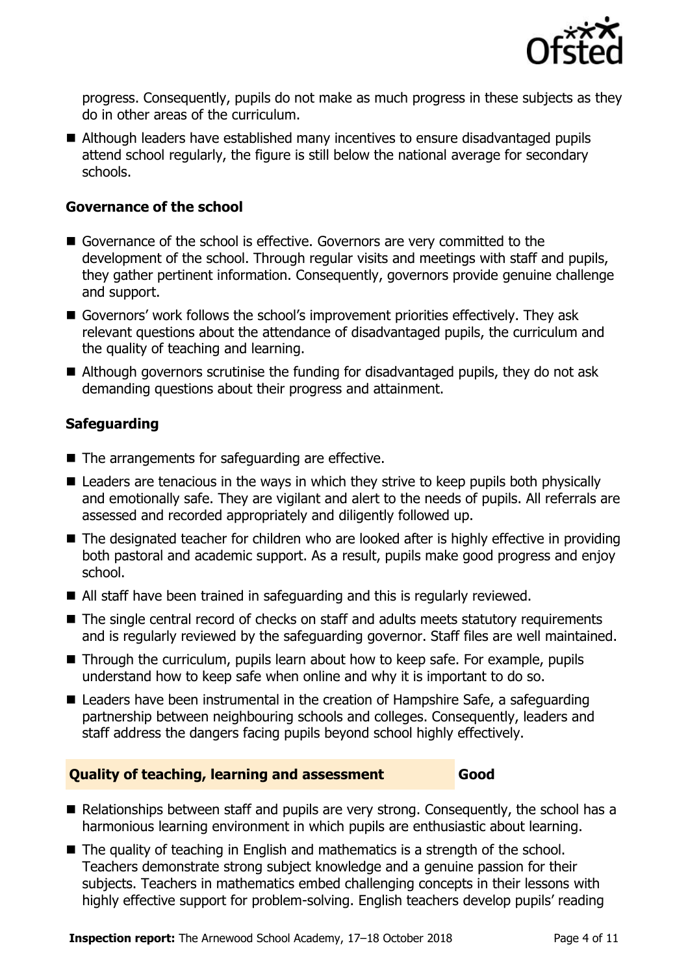

progress. Consequently, pupils do not make as much progress in these subjects as they do in other areas of the curriculum.

■ Although leaders have established many incentives to ensure disadvantaged pupils attend school regularly, the figure is still below the national average for secondary schools.

#### **Governance of the school**

- Governance of the school is effective. Governors are very committed to the development of the school. Through regular visits and meetings with staff and pupils, they gather pertinent information. Consequently, governors provide genuine challenge and support.
- Governors' work follows the school's improvement priorities effectively. They ask relevant questions about the attendance of disadvantaged pupils, the curriculum and the quality of teaching and learning.
- Although governors scrutinise the funding for disadvantaged pupils, they do not ask demanding questions about their progress and attainment.

### **Safeguarding**

- $\blacksquare$  The arrangements for safeguarding are effective.
- Leaders are tenacious in the ways in which they strive to keep pupils both physically and emotionally safe. They are vigilant and alert to the needs of pupils. All referrals are assessed and recorded appropriately and diligently followed up.
- The designated teacher for children who are looked after is highly effective in providing both pastoral and academic support. As a result, pupils make good progress and enjoy school.
- All staff have been trained in safeguarding and this is regularly reviewed.
- The single central record of checks on staff and adults meets statutory requirements and is regularly reviewed by the safeguarding governor. Staff files are well maintained.
- Through the curriculum, pupils learn about how to keep safe. For example, pupils understand how to keep safe when online and why it is important to do so.
- Leaders have been instrumental in the creation of Hampshire Safe, a safeguarding partnership between neighbouring schools and colleges. Consequently, leaders and staff address the dangers facing pupils beyond school highly effectively.

#### **Quality of teaching, learning and assessment Good**

- Relationships between staff and pupils are very strong. Consequently, the school has a harmonious learning environment in which pupils are enthusiastic about learning.
- The quality of teaching in English and mathematics is a strength of the school. Teachers demonstrate strong subject knowledge and a genuine passion for their subjects. Teachers in mathematics embed challenging concepts in their lessons with highly effective support for problem-solving. English teachers develop pupils' reading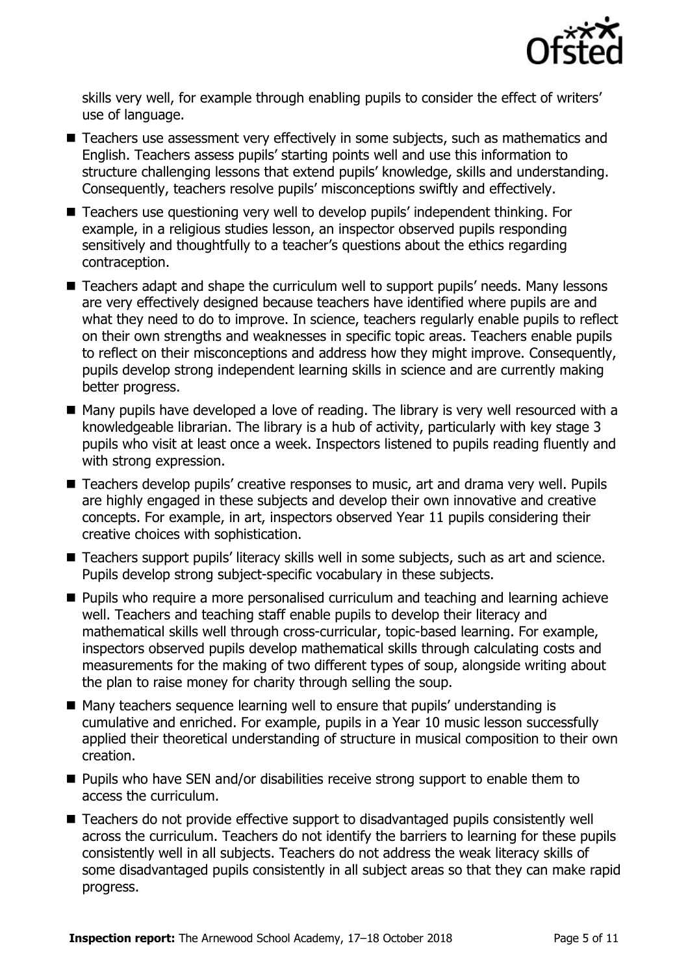

skills very well, for example through enabling pupils to consider the effect of writers' use of language.

- Teachers use assessment very effectively in some subjects, such as mathematics and English. Teachers assess pupils' starting points well and use this information to structure challenging lessons that extend pupils' knowledge, skills and understanding. Consequently, teachers resolve pupils' misconceptions swiftly and effectively.
- Teachers use questioning very well to develop pupils' independent thinking. For example, in a religious studies lesson, an inspector observed pupils responding sensitively and thoughtfully to a teacher's questions about the ethics regarding contraception.
- Teachers adapt and shape the curriculum well to support pupils' needs. Many lessons are very effectively designed because teachers have identified where pupils are and what they need to do to improve. In science, teachers regularly enable pupils to reflect on their own strengths and weaknesses in specific topic areas. Teachers enable pupils to reflect on their misconceptions and address how they might improve. Consequently, pupils develop strong independent learning skills in science and are currently making better progress.
- Many pupils have developed a love of reading. The library is very well resourced with a knowledgeable librarian. The library is a hub of activity, particularly with key stage 3 pupils who visit at least once a week. Inspectors listened to pupils reading fluently and with strong expression.
- Teachers develop pupils' creative responses to music, art and drama very well. Pupils are highly engaged in these subjects and develop their own innovative and creative concepts. For example, in art, inspectors observed Year 11 pupils considering their creative choices with sophistication.
- Teachers support pupils' literacy skills well in some subjects, such as art and science. Pupils develop strong subject-specific vocabulary in these subjects.
- **Pupils who require a more personalised curriculum and teaching and learning achieve** well. Teachers and teaching staff enable pupils to develop their literacy and mathematical skills well through cross-curricular, topic-based learning. For example, inspectors observed pupils develop mathematical skills through calculating costs and measurements for the making of two different types of soup, alongside writing about the plan to raise money for charity through selling the soup.
- Many teachers sequence learning well to ensure that pupils' understanding is cumulative and enriched. For example, pupils in a Year 10 music lesson successfully applied their theoretical understanding of structure in musical composition to their own creation.
- **Pupils who have SEN and/or disabilities receive strong support to enable them to** access the curriculum.
- Teachers do not provide effective support to disadvantaged pupils consistently well across the curriculum. Teachers do not identify the barriers to learning for these pupils consistently well in all subjects. Teachers do not address the weak literacy skills of some disadvantaged pupils consistently in all subject areas so that they can make rapid progress.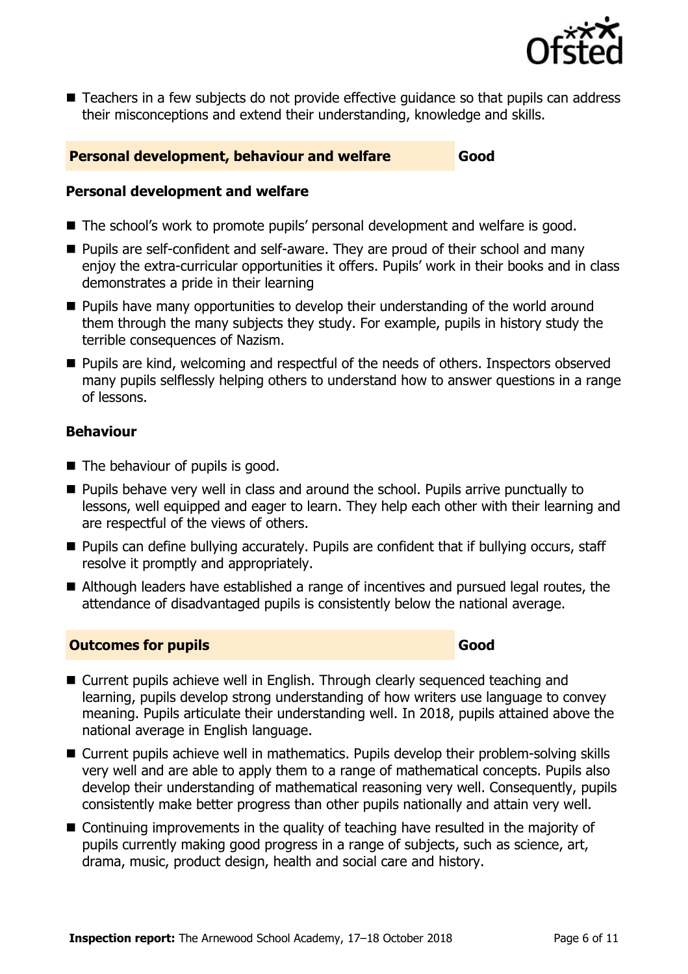

■ Teachers in a few subjects do not provide effective quidance so that pupils can address their misconceptions and extend their understanding, knowledge and skills.

#### **Personal development, behaviour and welfare Good**

#### **Personal development and welfare**

- The school's work to promote pupils' personal development and welfare is good.
- **Pupils are self-confident and self-aware. They are proud of their school and many** enjoy the extra-curricular opportunities it offers. Pupils' work in their books and in class demonstrates a pride in their learning
- **Pupils have many opportunities to develop their understanding of the world around** them through the many subjects they study. For example, pupils in history study the terrible consequences of Nazism.
- **Pupils are kind, welcoming and respectful of the needs of others. Inspectors observed** many pupils selflessly helping others to understand how to answer questions in a range of lessons.

#### **Behaviour**

- The behaviour of pupils is good.
- **Pupils behave very well in class and around the school. Pupils arrive punctually to** lessons, well equipped and eager to learn. They help each other with their learning and are respectful of the views of others.
- **Pupils can define bullying accurately. Pupils are confident that if bullying occurs, staff** resolve it promptly and appropriately.
- Although leaders have established a range of incentives and pursued legal routes, the attendance of disadvantaged pupils is consistently below the national average.

### **Outcomes for pupils Good**

- Current pupils achieve well in English. Through clearly sequenced teaching and learning, pupils develop strong understanding of how writers use language to convey meaning. Pupils articulate their understanding well. In 2018, pupils attained above the national average in English language.
- Current pupils achieve well in mathematics. Pupils develop their problem-solving skills very well and are able to apply them to a range of mathematical concepts. Pupils also develop their understanding of mathematical reasoning very well. Consequently, pupils consistently make better progress than other pupils nationally and attain very well.
- Continuing improvements in the quality of teaching have resulted in the majority of pupils currently making good progress in a range of subjects, such as science, art, drama, music, product design, health and social care and history.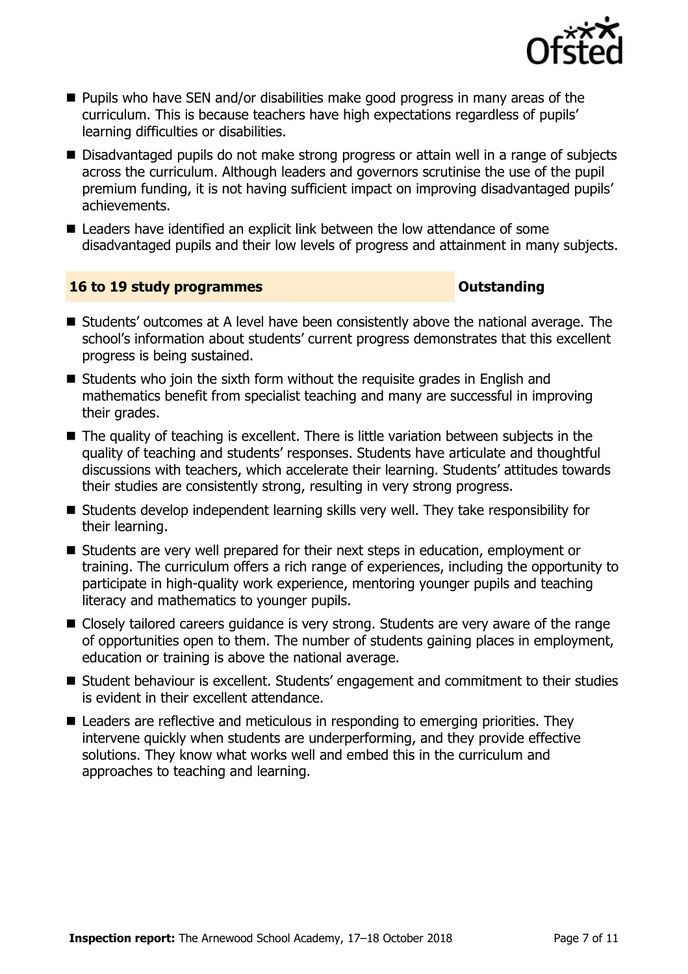

- **Pupils who have SEN and/or disabilities make good progress in many areas of the** curriculum. This is because teachers have high expectations regardless of pupils' learning difficulties or disabilities.
- Disadvantaged pupils do not make strong progress or attain well in a range of subjects across the curriculum. Although leaders and governors scrutinise the use of the pupil premium funding, it is not having sufficient impact on improving disadvantaged pupils' achievements.
- Leaders have identified an explicit link between the low attendance of some disadvantaged pupils and their low levels of progress and attainment in many subjects.

#### **16 to 19 study programmes Outstanding**

- Students' outcomes at A level have been consistently above the national average. The school's information about students' current progress demonstrates that this excellent progress is being sustained.
- $\blacksquare$  Students who join the sixth form without the requisite grades in English and mathematics benefit from specialist teaching and many are successful in improving their grades.
- The quality of teaching is excellent. There is little variation between subjects in the quality of teaching and students' responses. Students have articulate and thoughtful discussions with teachers, which accelerate their learning. Students' attitudes towards their studies are consistently strong, resulting in very strong progress.
- Students develop independent learning skills very well. They take responsibility for their learning.
- Students are very well prepared for their next steps in education, employment or training. The curriculum offers a rich range of experiences, including the opportunity to participate in high-quality work experience, mentoring younger pupils and teaching literacy and mathematics to younger pupils.
- Closely tailored careers guidance is very strong. Students are very aware of the range of opportunities open to them. The number of students gaining places in employment, education or training is above the national average.
- Student behaviour is excellent. Students' engagement and commitment to their studies is evident in their excellent attendance.
- Leaders are reflective and meticulous in responding to emerging priorities. They intervene quickly when students are underperforming, and they provide effective solutions. They know what works well and embed this in the curriculum and approaches to teaching and learning.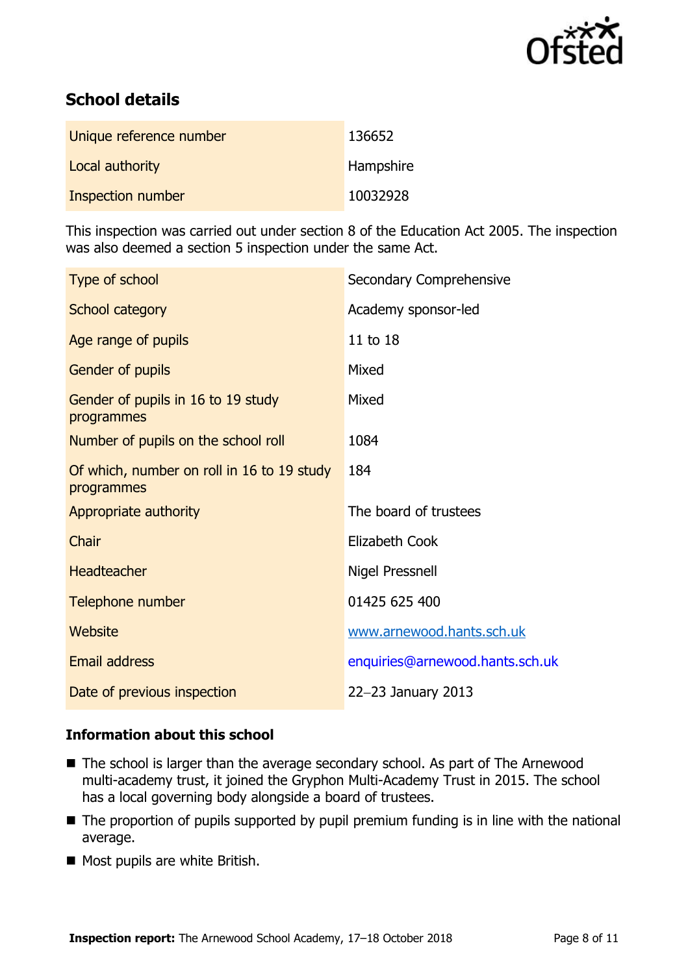

# **School details**

| Unique reference number | 136652           |
|-------------------------|------------------|
| Local authority         | <b>Hampshire</b> |
| Inspection number       | 10032928         |

This inspection was carried out under section 8 of the Education Act 2005. The inspection was also deemed a section 5 inspection under the same Act.

| Type of school                                           | Secondary Comprehensive         |
|----------------------------------------------------------|---------------------------------|
| School category                                          | Academy sponsor-led             |
| Age range of pupils                                      | 11 to 18                        |
| Gender of pupils                                         | Mixed                           |
| Gender of pupils in 16 to 19 study<br>programmes         | Mixed                           |
| Number of pupils on the school roll                      | 1084                            |
| Of which, number on roll in 16 to 19 study<br>programmes | 184                             |
| Appropriate authority                                    | The board of trustees           |
| Chair                                                    | Elizabeth Cook                  |
| <b>Headteacher</b>                                       | <b>Nigel Pressnell</b>          |
| Telephone number                                         | 01425 625 400                   |
| Website                                                  | www.arnewood.hants.sch.uk       |
| <b>Email address</b>                                     | enquiries@arnewood.hants.sch.uk |
| Date of previous inspection                              | 22-23 January 2013              |

### **Information about this school**

- The school is larger than the average secondary school. As part of The Arnewood multi-academy trust, it joined the Gryphon Multi-Academy Trust in 2015. The school has a local governing body alongside a board of trustees.
- The proportion of pupils supported by pupil premium funding is in line with the national average.
- Most pupils are white British.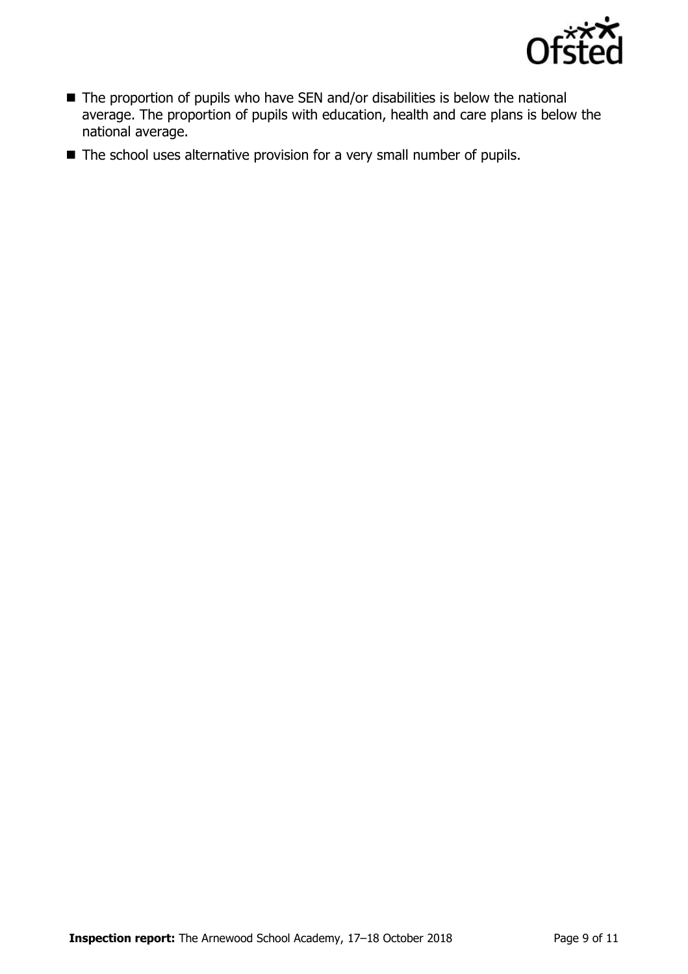

- The proportion of pupils who have SEN and/or disabilities is below the national average. The proportion of pupils with education, health and care plans is below the national average.
- The school uses alternative provision for a very small number of pupils.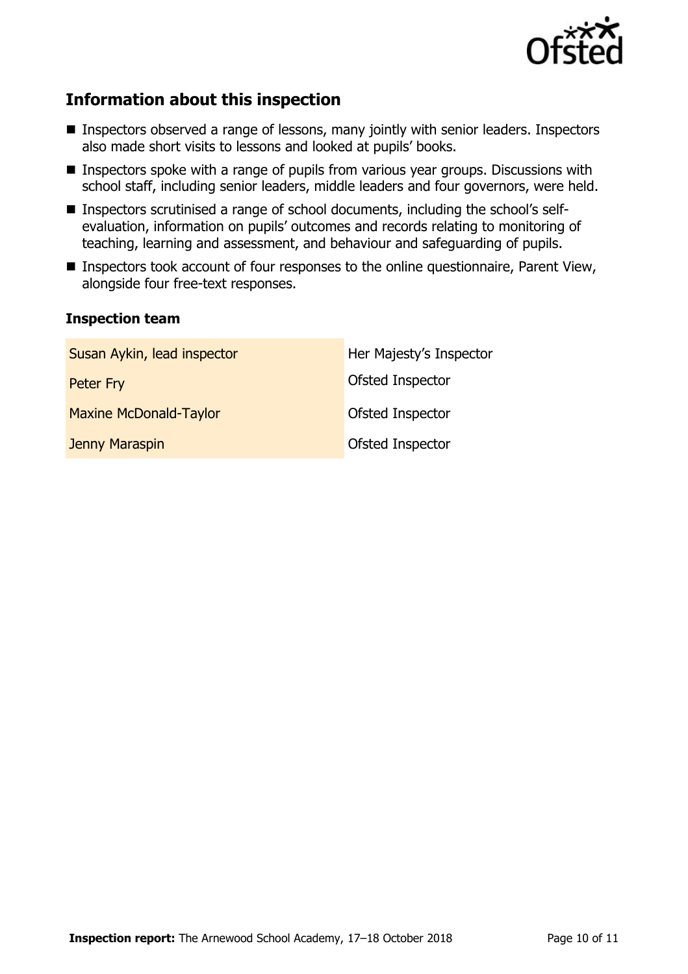

# **Information about this inspection**

- **Inspectors observed a range of lessons, many jointly with senior leaders. Inspectors** also made short visits to lessons and looked at pupils' books.
- Inspectors spoke with a range of pupils from various year groups. Discussions with school staff, including senior leaders, middle leaders and four governors, were held.
- Inspectors scrutinised a range of school documents, including the school's selfevaluation, information on pupils' outcomes and records relating to monitoring of teaching, learning and assessment, and behaviour and safeguarding of pupils.
- **Inspectors took account of four responses to the online questionnaire, Parent View,** alongside four free-text responses.

#### **Inspection team**

| Susan Aykin, lead inspector   | Her Majesty's Inspector |
|-------------------------------|-------------------------|
| Peter Fry                     | <b>Ofsted Inspector</b> |
| <b>Maxine McDonald-Taylor</b> | <b>Ofsted Inspector</b> |
| Jenny Maraspin                | <b>Ofsted Inspector</b> |